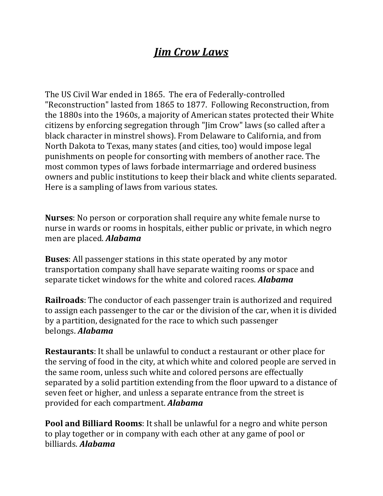## *Jim Crow Laws*

The US Civil War ended in 1865. The era of Federally-controlled "Reconstruction" lasted from 1865 to 1877. Following Reconstruction, from the 1880s into the 1960s, a majority of American states protected their White citizens by enforcing segregation through "Jim Crow" laws (so called after a black character in minstrel shows). From Delaware to California, and from North Dakota to Texas, many states (and cities, too) would impose legal punishments on people for consorting with members of another race. The most common types of laws forbade intermarriage and ordered business owners and public institutions to keep their black and white clients separated. Here is a sampling of laws from various states.

**Nurses**: No person or corporation shall require any white female nurse to nurse in wards or rooms in hospitals, either public or private, in which negro men are placed. **Alabama** 

**Buses:** All passenger stations in this state operated by any motor transportation company shall have separate waiting rooms or space and separate ticket windows for the white and colored races. **Alabama** 

**Railroads**: The conductor of each passenger train is authorized and required to assign each passenger to the car or the division of the car, when it is divided by a partition, designated for the race to which such passenger belongs. *Alabama*

**Restaurants:** It shall be unlawful to conduct a restaurant or other place for the serving of food in the city, at which white and colored people are served in the same room, unless such white and colored persons are effectually separated by a solid partition extending from the floor upward to a distance of seven feet or higher, and unless a separate entrance from the street is provided for each compartment. *Alabama*

**Pool and Billiard Rooms**: It shall be unlawful for a negro and white person to play together or in company with each other at any game of pool or billiards. *Alabama*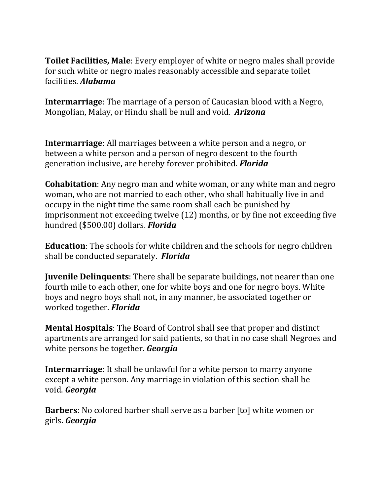**Toilet Facilities, Male**: Every employer of white or negro males shall provide for such white or negro males reasonably accessible and separate toilet facilities. *Alabama*

**Intermarriage**: The marriage of a person of Caucasian blood with a Negro, Mongolian, Malay, or Hindu shall be null and void. *Arizona* 

**Intermarriage**: All marriages between a white person and a negro, or between a white person and a person of negro descent to the fourth generation inclusive, are hereby forever prohibited. **Florida** 

**Cohabitation**: Any negro man and white woman, or any white man and negro woman, who are not married to each other, who shall habitually live in and occupy in the night time the same room shall each be punished by imprisonment not exceeding twelve (12) months, or by fine not exceeding five hundred (\$500.00) dollars. **Florida** 

**Education**: The schools for white children and the schools for negro children shall be conducted separately. **Florida** 

**Juvenile Delinquents**: There shall be separate buildings, not nearer than one fourth mile to each other, one for white boys and one for negro boys. White boys and negro boys shall not, in any manner, be associated together or worked together. *Florida*

**Mental Hospitals**: The Board of Control shall see that proper and distinct apartments are arranged for said patients, so that in no case shall Negroes and white persons be together. *Georgia* 

**Intermarriage**: It shall be unlawful for a white person to marry anyone except a white person. Any marriage in violation of this section shall be void. *Georgia*

**Barbers**: No colored barber shall serve as a barber [to] white women or girls. *Georgia*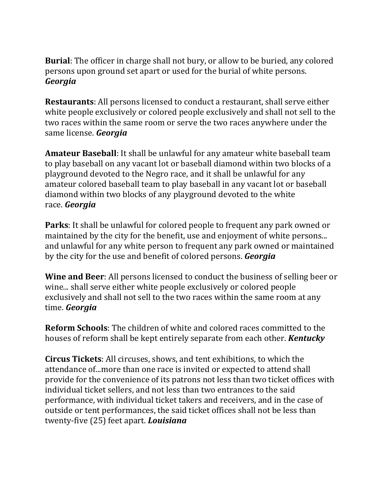**Burial**: The officer in charge shall not bury, or allow to be buried, any colored persons upon ground set apart or used for the burial of white persons. *Georgia*

**Restaurants:** All persons licensed to conduct a restaurant, shall serve either white people exclusively or colored people exclusively and shall not sell to the two races within the same room or serve the two races anywhere under the same license. *Georgia* 

**Amateur Baseball**: It shall be unlawful for any amateur white baseball team to play baseball on any vacant lot or baseball diamond within two blocks of a playground devoted to the Negro race, and it shall be unlawful for any amateur colored baseball team to play baseball in any vacant lot or baseball diamond within two blocks of any playground devoted to the white race. *Georgia*

**Parks**: It shall be unlawful for colored people to frequent any park owned or maintained by the city for the benefit, use and enjoyment of white persons... and unlawful for any white person to frequent any park owned or maintained by the city for the use and benefit of colored persons. *Georgia* 

**Wine and Beer:** All persons licensed to conduct the business of selling beer or wine... shall serve either white people exclusively or colored people exclusively and shall not sell to the two races within the same room at any time. *Georgia*

**Reform Schools**: The children of white and colored races committed to the houses of reform shall be kept entirely separate from each other. *Kentucky* 

**Circus Tickets:** All circuses, shows, and tent exhibitions, to which the attendance of ... more than one race is invited or expected to attend shall provide for the convenience of its patrons not less than two ticket offices with individual ticket sellers, and not less than two entrances to the said performance, with individual ticket takers and receivers, and in the case of outside or tent performances, the said ticket offices shall not be less than twenty‐five (25) feet apart. *Louisiana*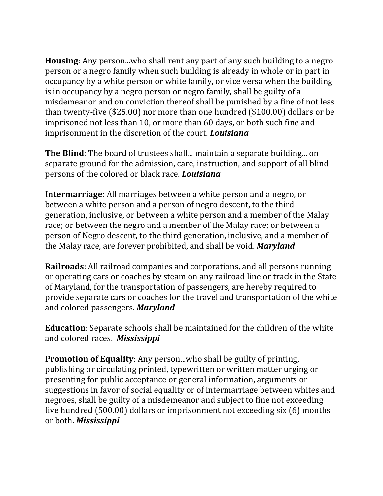**Housing**: Any person...who shall rent any part of any such building to a negro person or a negro family when such building is already in whole or in part in occupancy by a white person or white family, or vice versa when the building is in occupancy by a negro person or negro family, shall be guilty of a misdemeanor and on conviction thereof shall be punished by a fine of not less than twenty-five  $(\$25.00)$  nor more than one hundred  $(\$100.00)$  dollars or be imprisoned not less than 10, or more than 60 days, or both such fine and imprisonment in the discretion of the court. *Louisiana* 

**The Blind**: The board of trustees shall... maintain a separate building... on separate ground for the admission, care, instruction, and support of all blind persons of the colored or black race. *Louisiana* 

**Intermarriage**: All marriages between a white person and a negro, or between a white person and a person of negro descent, to the third generation, inclusive, or between a white person and a member of the Malay race; or between the negro and a member of the Malay race; or between a person of Negro descent, to the third generation, inclusive, and a member of the Malay race, are forever prohibited, and shall be void. *Maryland* 

**Railroads**: All railroad companies and corporations, and all persons running or operating cars or coaches by steam on any railroad line or track in the State of Maryland, for the transportation of passengers, are hereby required to provide separate cars or coaches for the travel and transportation of the white and colored passengers. **Maryland** 

**Education**: Separate schools shall be maintained for the children of the white and colored races. **Mississippi** 

**Promotion of Equality**: Any person...who shall be guilty of printing, publishing or circulating printed, typewritten or written matter urging or presenting for public acceptance or general information, arguments or suggestions in favor of social equality or of intermarriage between whites and negroes, shall be guilty of a misdemeanor and subject to fine not exceeding five hundred  $(500.00)$  dollars or imprisonment not exceeding six  $(6)$  months or both. *Mississippi*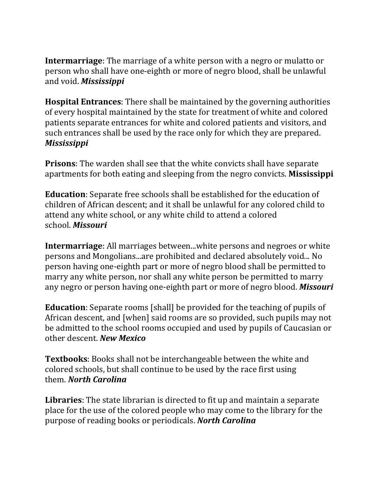**Intermarriage**: The marriage of a white person with a negro or mulatto or person who shall have one-eighth or more of negro blood, shall be unlawful and void. *Mississippi*

**Hospital Entrances**: There shall be maintained by the governing authorities of every hospital maintained by the state for treatment of white and colored patients separate entrances for white and colored patients and visitors, and such entrances shall be used by the race only for which they are prepared. *Mississippi*

**Prisons**: The warden shall see that the white convicts shall have separate apartments for both eating and sleeping from the negro convicts. **Mississippi** 

**Education**: Separate free schools shall be established for the education of children of African descent; and it shall be unlawful for any colored child to attend any white school, or any white child to attend a colored school. *Missouri*

**Intermarriage**: All marriages between...white persons and negroes or white persons and Mongolians...are prohibited and declared absolutely void... No person having one-eighth part or more of negro blood shall be permitted to marry any white person, nor shall any white person be permitted to marry any negro or person having one-eighth part or more of negro blood. *Missouri* 

**Education**: Separate rooms [shall] be provided for the teaching of pupils of African descent, and [when] said rooms are so provided, such pupils may not be admitted to the school rooms occupied and used by pupils of Caucasian or other descent. *New Mexico*

**Textbooks**: Books shall not be interchangeable between the white and colored schools, but shall continue to be used by the race first using them. *North Carolina*

**Libraries**: The state librarian is directed to fit up and maintain a separate place for the use of the colored people who may come to the library for the purpose of reading books or periodicals. *North Carolina*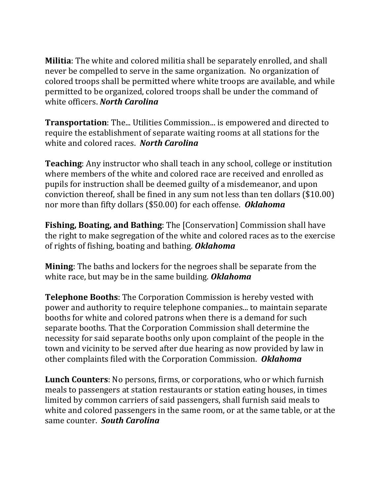**Militia**: The white and colored militia shall be separately enrolled, and shall never be compelled to serve in the same organization. No organization of colored troops shall be permitted where white troops are available, and while permitted to be organized, colored troops shall be under the command of white officers. *North Carolina*

**Transportation**: The... Utilities Commission... is empowered and directed to require the establishment of separate waiting rooms at all stations for the white and colored races. *North Carolina* 

**Teaching**: Any instructor who shall teach in any school, college or institution where members of the white and colored race are received and enrolled as pupils for instruction shall be deemed guilty of a misdemeanor, and upon conviction thereof, shall be fined in any sum not less than ten dollars  $(\$10.00)$ nor more than fifty dollars (\$50.00) for each offense. Oklahoma

**Fishing, Boating, and Bathing:** The [Conservation] Commission shall have the right to make segregation of the white and colored races as to the exercise of rights of fishing, boating and bathing. Oklahoma

**Mining**: The baths and lockers for the negroes shall be separate from the white race, but may be in the same building. **Oklahoma** 

**Telephone Booths:** The Corporation Commission is hereby vested with power and authority to require telephone companies... to maintain separate booths for white and colored patrons when there is a demand for such separate booths. That the Corporation Commission shall determine the necessity for said separate booths only upon complaint of the people in the town and vicinity to be served after due hearing as now provided by law in other complaints filed with the Corporation Commission. Oklahoma

**Lunch Counters:** No persons, firms, or corporations, who or which furnish meals to passengers at station restaurants or station eating houses, in times limited by common carriers of said passengers, shall furnish said meals to white and colored passengers in the same room, or at the same table, or at the same counter. South Carolina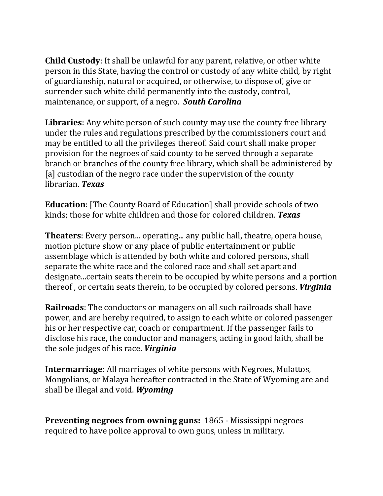**Child Custody**: It shall be unlawful for any parent, relative, or other white person in this State, having the control or custody of any white child, by right of guardianship, natural or acquired, or otherwise, to dispose of, give or surrender such white child permanently into the custody, control, maintenance, or support, of a negro. *South Carolina* 

**Libraries**: Any white person of such county may use the county free library under the rules and regulations prescribed by the commissioners court and may be entitled to all the privileges thereof. Said court shall make proper provision for the negroes of said county to be served through a separate branch or branches of the county free library, which shall be administered by [a] custodian of the negro race under the supervision of the county librarian. *Texas*

**Education**: [The County Board of Education] shall provide schools of two kinds; those for white children and those for colored children. **Texas** 

**Theaters**: Every person... operating... any public hall, theatre, opera house, motion picture show or any place of public entertainment or public assemblage which is attended by both white and colored persons, shall separate the white race and the colored race and shall set apart and designate...certain seats therein to be occupied by white persons and a portion thereof, or certain seats therein, to be occupied by colored persons. *Virginia* 

**Railroads**: The conductors or managers on all such railroads shall have power, and are hereby required, to assign to each white or colored passenger his or her respective car, coach or compartment. If the passenger fails to disclose his race, the conductor and managers, acting in good faith, shall be the sole judges of his race. *Virginia* 

**Intermarriage**: All marriages of white persons with Negroes, Mulattos, Mongolians, or Malaya hereafter contracted in the State of Wyoming are and shall be illegal and void. **Wyoming** 

**Preventing negroes from owning guns:** 1865 - Mississippi negroes required to have police approval to own guns, unless in military.